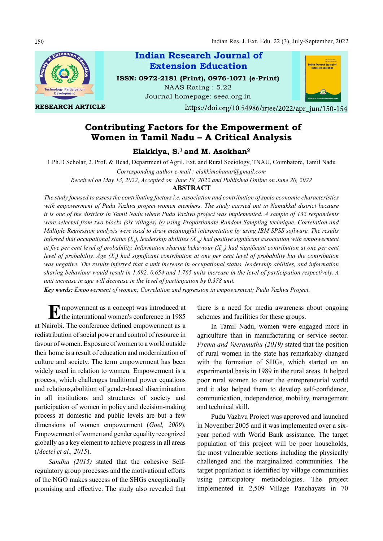150



RESEARCH ARTICLE

Indian Research Journal of ISSN: 0972-2181 (Print), 0976-1071 (e-Print) NAAS Rating : 5.22 Extension Education

Journal homepage: seea.org.in



https://doi.org/10.54986/irjee/2022/apr\_jun/150-154

# Contributing Factors for the Empowerment of Women in Tamil Nadu – A Critical Analysis

Elakkiya,  $S<sup>1</sup>$  and M. Asokhan<sup>2</sup>

1.Ph.D Scholar, 2. Prof. & Head, Department of Agril. Ext. and Rural Sociology, TNAU, Coimbatore, Tamil Nadu

Corresponding author e-mail : elakkimohanur@gmail.com

Received on May 13, 2022, Accepted on June 18, 2022 and Published Online on June 20, 2022

# ABSTRACT

The study focused to assess the contributing factors i.e. association and contribution of socio economic characteristics with empowerment of Pudu Vazhvu project women members. The study carried out in Namakkal district because it is one of the districts in Tamil Nadu where Pudu Vazhvu project was implemented. A sample of 132 respondents were selected from two blocks (six villages) by using Proportionate Random Sampling technique. Correlation and Multiple Regression analysis were used to draw meaningful interpretation by using IBM SPSS software. The results inferred that occupational status (X<sub>3</sub>), leadership abilities (X<sub>10</sub>) had positive significant association with empowerment at five per cent level of probability. Information sharing behaviour  $(X<sub>1</sub>)$  had significant contribution at one per cent level of probability. Age  $(X_i)$  had significant contribution at one per cent level of probability but the contribution was negative. The results inferred that a unit increase in occupational status, leadership abilities, and information sharing behaviour would result in 1.692, 0.654 and 1.765 units increase in the level of participation respectively. A unit increase in age will decrease in the level of participation by 0.378 unit.

Key words: Empowerment of women; Correlation and regression in empowerment; Pudu Vazhvu Project.

**EX** mpowerment as a concept was introduced at there is a nee<br>the international women's conference in 1985 schemes and fa at Nairobi. The conference defined empowerment as a redistribution of social power and control of resource in favour of women. Exposure of women to a world outside their home is a result of education and modernization of culture and society. The term empowerment has been widely used in relation to women. Empowerment is a process, which challenges traditional power equations and relations,abolition of gender-based discrimination in all institutions and structures of society and participation of women in policy and decision-making process at domestic and public levels are but a few dimensions of women empowerment (Goel, 2009). Empowerment of women and gender equality recognized globally as a key element to achieve progress in all areas (Meetei et al., 2015).

Sandhu (2015) stated that the cohesive Selfregulatory group processes and the motivational efforts of the NGO makes success of the SHGs exceptionally promising and effective. The study also revealed that

there is a need for media awareness about ongoing schemes and facilities for these groups.

In Tamil Nadu, women were engaged more in agriculture than in manufacturing or service sector. Prema and Veeramuthu (2019) stated that the position of rural women in the state has remarkably changed with the formation of SHGs, which started on an experimental basis in 1989 in the rural areas. It helped poor rural women to enter the entrepreneurial world and it also helped them to develop self-confidence, communication, independence, mobility, management and technical skill.

Pudu Vazhvu Project was approved and launched in November 2005 and it was implemented over a sixyear period with World Bank assistance. The target population of this project will be poor households, the most vulnerable sections including the physically challenged and the marginalized communities. The target population is identified by village communities using participatory methodologies. The project implemented in 2,509 Village Panchayats in 70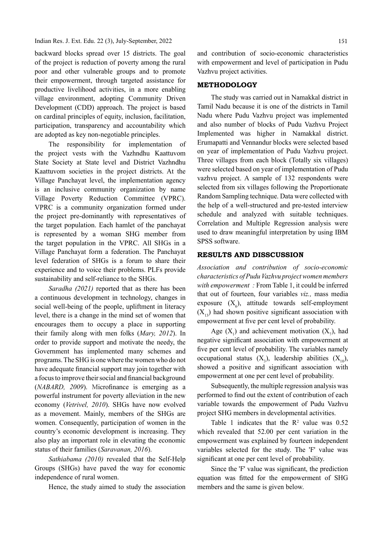backward blocks spread over 15 districts. The goal of the project is reduction of poverty among the rural poor and other vulnerable groups and to promote their empowerment, through targeted assistance for productive livelihood activities, in a more enabling village environment, adopting Community Driven Development (CDD) approach. The project is based on cardinal principles of equity, inclusion, facilitation, participation, transparency and accountability which are adopted as key non-negotiable principles.

The responsibility for implementation of the project vests with the Vazhndhu Kaattuvom State Society at State level and District Vazhndhu Kaattuvom societies in the project districts. At the Village Panchayat level, the implementation agency is an inclusive community organization by name Village Poverty Reduction Committee (VPRC). VPRC is a community organization formed under the project pre-dominantly with representatives of the target population. Each hamlet of the panchayat is represented by a woman SHG member from the target population in the VPRC. All SHGs in a Village Panchayat form a federation. The Panchayat level federation of SHGs is a forum to share their experience and to voice their problems. PLFs provide sustainability and self-reliance to the SHGs.

Saradha (2021) reported that as there has been a continuous development in technology, changes in social well-being of the people, upliftment in literacy level, there is a change in the mind set of women that encourages them to occupy a place in supporting their family along with men folks (Mary, 2012). In order to provide support and motivate the needy, the Government has implemented many schemes and programs. The SHG is one where the women who do not have adequate financial support may join together with a focus to improve their social and financial background  $(NABARD, 2009)$ . Microfinance is emerging as a powerful instrument for poverty alleviation in the new economy (Vetrivel, 2010). SHGs have now evolved as a movement. Mainly, members of the SHGs are women. Consequently, participation of women in the country's economic development is increasing. They also play an important role in elevating the economic status of their families (Saravanan, 2016).

Sathiabama (2010) revealed that the Self-Help Groups (SHGs) have paved the way for economic independence of rural women.

Hence, the study aimed to study the association

and contribution of socio-economic characteristics with empowerment and level of participation in Pudu Vazhvu project activities.

## METHODOLOGY

The study was carried out in Namakkal district in Tamil Nadu because it is one of the districts in Tamil Nadu where Pudu Vazhvu project was implemented and also number of blocks of Pudu Vazhvu Project Implemented was higher in Namakkal district. Erumapatti and Vennandur blocks were selected based on year of implementation of Pudu Vazhvu project. Three villages from each block (Totally six villages) were selected based on year of implementation of Pudu vazhvu project. A sample of 132 respondents were selected from six villages following the Proportionate Random Sampling technique. Data were collected with the help of a well-structured and pre-tested interview schedule and analyzed with suitable techniques. Correlation and Multiple Regression analysis were used to draw meaningful interpretation by using IBM SPSS software.

# RESULTS AND DISSCUSSION

Association and contribution of socio-economic characteristics of Pudu Vazhvu project women members with empowerment : From Table 1, it could be inferred that out of fourteen, four variables viz., mass media exposure  $(X_{\epsilon})$ , attitude towards self-employment  $(X_1, X_2)$  had shown positive significant association with empowerment at five per cent level of probability.

Age  $(X_1)$  and achievement motivation  $(X_7)$ , had negative significant association with empowerment at five per cent level of probability. The variables namely occupational status  $(X_3)$ , leadership abilities  $(X_{10})$ , showed a positive and significant association with empowerment at one per cent level of probability.

Subsequently, the multiple regression analysis was performed to find out the extent of contribution of each variable towards the empowerment of Pudu Vazhvu project SHG members in developmental activities.

Table 1 indicates that the  $R^2$  value was 0.52 which revealed that 52.00 per cent variation in the empowerment was explained by fourteen independent variables selected for the study. The 'F' value was significant at one per cent level of probability.

Since the 'F' value was significant, the prediction equation was fitted for the empowerment of SHG members and the same is given below.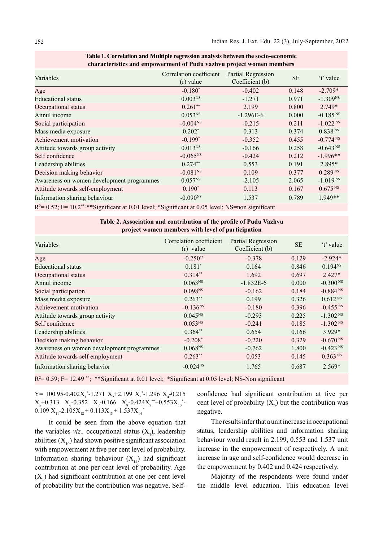| спатается внестно спротегнили от глам тамнта ргојесе пошен пилноств |                                        |                                       |           |                        |  |  |  |
|---------------------------------------------------------------------|----------------------------------------|---------------------------------------|-----------|------------------------|--|--|--|
| Variables                                                           | Correlation coefficient<br>$(r)$ value | Partial Regression<br>Coefficient (b) | <b>SE</b> | 't' value              |  |  |  |
| Age                                                                 | $-0.180*$                              | $-0.402$                              | 0.148     | $-2.709*$              |  |  |  |
| <b>Educational</b> status                                           | 0.003 <sup>NS</sup>                    | $-1.271$                              | 0.971     | $-1.309^{NS}$          |  |  |  |
| Occupational status                                                 | $0.261**$                              | 2.199                                 | 0.800     | $2.749*$               |  |  |  |
| Annul income                                                        | $0.053^{NS}$                           | $-1.296E-6$                           | 0.000     | $-0.185$ <sup>NS</sup> |  |  |  |
| Social participation                                                | $-0.004N$ <sup>NS</sup>                | $-0.215$                              | 0.211     | $-1.022$ <sup>NS</sup> |  |  |  |
| Mass media exposure                                                 | $0.202*$                               | 0.313                                 | 0.374     | 0.838 <sup>NS</sup>    |  |  |  |
| Achievement motivation                                              | $-0.199*$                              | $-0.352$                              | 0.455     | $-0.774$ <sup>NS</sup> |  |  |  |
| Attitude towards group activity                                     | 0.013 <sup>NS</sup>                    | $-0.166$                              | 0.258     | $-0.643$ <sup>NS</sup> |  |  |  |
| Self confidence                                                     | $-0.065^{NS}$                          | $-0.424$                              | 0.212     | $-1.996**$             |  |  |  |
| Leadership abilities                                                | $0.274**$                              | 0.553                                 | 0.191     | 2.895*                 |  |  |  |
| Decision making behavior                                            | $-0.081$ <sup>NS</sup>                 | 0.109                                 | 0.377     | 0.289 <sup>NS</sup>    |  |  |  |
| Awareness on women development programmes                           | $0.057^{NS}$                           | $-2.105$                              | 2.065     | $-1.019$ <sup>NS</sup> |  |  |  |
| Attitude towards self-employment                                    | $0.190*$                               | 0.113                                 | 0.167     | 0.675 N                |  |  |  |
| Information sharing behaviour                                       | $-0.090^{NS}$                          | 1.537                                 | 0.789     | 1.949**                |  |  |  |

| Table 1. Correlation and Multiple regression analysis between the socio-economic |
|----------------------------------------------------------------------------------|
| characteristics and empowerment of Pudu vazhvu project women members             |

 $R<sup>2</sup>= 0.52$ ; F= 10.2\*\*; \*\* Significant at 0.01 level; \*Significant at 0.05 level; NS=non significant

| Table 2. Association and contribution of the profile of Pudu Vazhvu<br>project women members with level of participation |                                        |                                              |           |                        |  |  |  |
|--------------------------------------------------------------------------------------------------------------------------|----------------------------------------|----------------------------------------------|-----------|------------------------|--|--|--|
| Variables                                                                                                                | Correlation coefficient<br>$(r)$ value | <b>Partial Regression</b><br>Coefficient (b) | <b>SE</b> | 't' value              |  |  |  |
| Age                                                                                                                      | $-0.250**$                             | $-0.378$                                     | 0.129     | $-2.924*$              |  |  |  |
| <b>Educational</b> status                                                                                                | $0.181*$                               | 0.164                                        | 0.846     | $0.194^{NS}$           |  |  |  |
| Occupational status                                                                                                      | $0.314**$                              | 1.692                                        | 0.697     | $2.427*$               |  |  |  |
| Annul income                                                                                                             | 0.063 <sup>NS</sup>                    | $-1.832E-6$                                  | 0.000     | $-0.300NS$             |  |  |  |
| Social participation                                                                                                     | 0.098 <sup>NS</sup>                    | $-0.162$                                     | 0.184     | $-0.884$ <sup>NS</sup> |  |  |  |
| Mass media exposure                                                                                                      | $0.263**$                              | 0.199                                        | 0.326     | $0.612^{NS}$           |  |  |  |
| Achievement motivation                                                                                                   | $-0.136^{NS}$                          | $-0.180$                                     | 0.396     | $-0.455$ <sup>NS</sup> |  |  |  |
| Attitude towards group activity                                                                                          | 0.045 <sup>NS</sup>                    | $-0.293$                                     | 0.225     | $-1.302$ <sup>NS</sup> |  |  |  |
| Self confidence                                                                                                          | 0.053 <sup>NS</sup>                    | $-0.241$                                     | 0.185     | $-1.302$ <sup>NS</sup> |  |  |  |
| Leadership abilities                                                                                                     | $0.364**$                              | 0.654                                        | 0.166     | $3.929*$               |  |  |  |
| Decision making behavior                                                                                                 | $-0.208*$                              | $-0.220$                                     | 0.329     | $-0.670$ <sup>NS</sup> |  |  |  |
| Awareness on women development programmes                                                                                | $0.068^{NS}$                           | $-0.762$                                     | 1.800     | $-0.423$ <sup>NS</sup> |  |  |  |
| Attitude towards self employment                                                                                         | $0.263**$                              | 0.053                                        | 0.145     | 0.363 <sup>NS</sup>    |  |  |  |
| Information sharing behavior                                                                                             | $-0.024^{NS}$                          | 1.765                                        | 0.687     | $2.569*$               |  |  |  |

 $R<sup>2</sup>= 0.59$ ; F= 12.49<sup>\*\*</sup>; \*\*Significant at 0.01 level; \*Significant at 0.05 level; NS-Non significant

 $Y = 100.95 - 0.402X_1^* - 1.271X_2 + 2.199X_3^* - 1.296X_4 - 0.215$  $X_{5}+0.313$   $X_{6}-0.352$   $X_{7}-0.166$   $X_{8}-0.424X_{9}^{*}+0.553X_{10}^{*} 0.109 \text{ X}_{11}$ -2.105 $\text{X}_{12}$ + $0.113\text{X}_{13}$ + $1.537\text{X}_{14}$ <sup>\*</sup>

It could be seen from the above equation that the variables *viz.*, occupational status  $(X_1)$ , leadership abilities  $(X_{10})$  had shown positive significant association with empowerment at five per cent level of probability. Information sharing behaviour  $(X_{14})$  had significant contribution at one per cent level of probability. Age  $(X_1)$  had significant contribution at one per cent level of probability but the contribution was negative. Self-

confidence had significant contribution at five per cent level of probability  $(X_0)$  but the contribution was negative.

The results infer that a unit increase in occupational status, leadership abilities and information sharing behaviour would result in 2.199, 0.553 and 1.537 unit increase in the empowerment of respectively. A unit increase in age and self-confidence would decrease in the empowerment by 0.402 and 0.424 respectively.

Majority of the respondents were found under the middle level education. This education level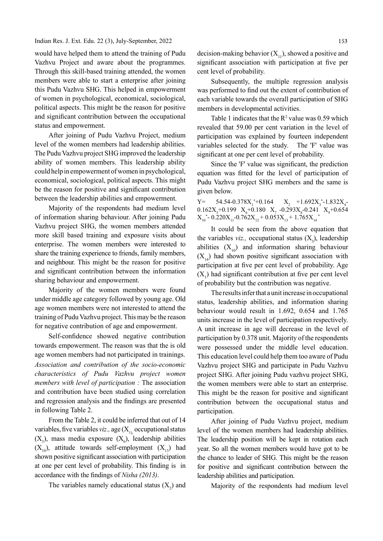would have helped them to attend the training of Pudu Vazhvu Project and aware about the programmes. Through this skill-based training attended, the women members were able to start a enterprise after joining this Pudu Vazhvu SHG. This helped in empowerment of women in psychological, economical, sociological, political aspects. This might be the reason for positive and significant contribution between the occupational status and empowerment.

After joining of Pudu Vazhvu Project, medium level of the women members had leadership abilities. The Pudu Vazhvu project SHG improved the leadership ability of women members. This leadership ability could help in empowerment of women in psychological, economical, sociological, political aspects. This might be the reason for positive and significant contribution between the leadership abilities and empowerment.

Majority of the respondents had medium level of information sharing behaviour. After joining Pudu Vazhvu project SHG, the women members attended more skill based training and exposure visits about enterprise. The women members were interested to share the training experience to friends, family members, and neighbour. This might be the reason for positive and significant contribution between the information sharing behaviour and empowerment.

Majority of the women members were found under middle age category followed by young age. Old age women members were not interested to attend the training of Pudu Vazhvu project. This may be the reason for negative contribution of age and empowerment.

Self-confidence showed negative contribution towards empowerment. The reason was that the is old age women members had not participated in trainings. Association and contribution of the socio-economic characteristics of Pudu Vazhvu project women members with level of participation : The association and contribution have been studied using correlation and regression analysis and the findings are presented in following Table 2.

From the Table 2, it could be inferred that out of 14 variables, five variables *viz.*, age  $(X_1)$  occupational status  $(X_3)$ , mass media exposure  $(X_6)$ , leadership abilities The leadership  $(X_{10})$ , attitude towards self-employment  $(X_{12})$  had shown positive significant association with participation at one per cent level of probability. This finding is in accordance with the findings of *Nisha (2013)*.

The variables namely educational status  $(X_2)$  and

decision-making behavior  $(X_{11})$ , showed a positive and significant association with participation at five per cent level of probability.

Subsequently, the multiple regression analysis was performed to find out the extent of contribution of each variable towards the overall participation of SHG members in developmental activities.

Table 1 indicates that the  $R^2$  value was 0.59 which revealed that 59.00 per cent variation in the level of participation was explained by fourteen independent variables selected for the study. The 'F' value was significant at one per cent level of probability.

Since the 'F' value was significant, the prediction equation was fitted for the level of participation of Pudu Vazhvu project SHG members and the same is given below.

 $Y = 54.54 - 0.378X_1^* + 0.164$   $X_2 + 1.692X_3^* - 1.832X_4$  $0.162X_s + 0.199$   $X_6 + 0.180$   $X_7 - 0.293X_s - 0.241$   $X_9 + 0.654$  $X_{10}^*$ - 0.220 $X_{11}$ -0.762 $X_{12}$ + 0.053 $X_{13}$ + 1.765 $X_{14}^*$ 

It could be seen from the above equation that the variables *viz.*, occupational status  $(X_2)$ , leadership abilities  $(X_{10})$  and information sharing behaviour  $(X_{14})$  had shown positive significant association with participation at five per cent level of probability. Age  $(X_1)$  had significant contribution at five per cent level of probability but the contribution was negative.

The results infer that a unit increase in occupational status, leadership abilities, and information sharing behaviour would result in 1.692, 0.654 and 1.765 units increase in the level of participation respectively. A unit increase in age will decrease in the level of participation by 0.378 unit. Majority of the respondents were possessed under the middle level education. This education level could help them too aware of Pudu Vazhvu project SHG and participate in Pudu Vazhvu project SHG. After joining Pudu vazhvu project SHG, the women members were able to start an enterprise. This might be the reason for positive and significant contribution between the occupational status and participation.

After joining of Pudu Vazhvu project, medium level of the women members had leadership abilities. The leadership position will be kept in rotation each year. So all the women members would have got to be the chance to leader of SHG. This might be the reason for positive and significant contribution between the leadership abilities and participation.

Majority of the respondents had medium level